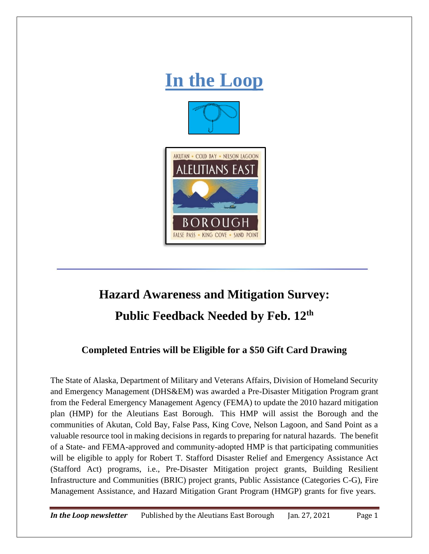

## **Hazard Awareness and Mitigation Survey: Public Feedback Needed by Feb. 12th**

## **Completed Entries will be Eligible for a \$50 Gift Card Drawing**

The State of Alaska, Department of Military and Veterans Affairs, Division of Homeland Security and Emergency Management (DHS&EM) was awarded a Pre-Disaster Mitigation Program grant from the Federal Emergency Management Agency (FEMA) to update the 2010 hazard mitigation plan (HMP) for the Aleutians East Borough. This HMP will assist the Borough and the communities of Akutan, Cold Bay, False Pass, King Cove, Nelson Lagoon, and Sand Point as a valuable resource tool in making decisions in regards to preparing for natural hazards. The benefit of a State- and FEMA-approved and community-adopted HMP is that participating communities will be eligible to apply for Robert T. Stafford Disaster Relief and Emergency Assistance Act (Stafford Act) programs, i.e., Pre-Disaster Mitigation project grants, Building Resilient Infrastructure and Communities (BRIC) project grants, Public Assistance (Categories C-G), Fire Management Assistance, and Hazard Mitigation Grant Program (HMGP) grants for five years.

*In the Loop newsletter* Published by the Aleutians East Borough Jan. 27, 2021 Page 1